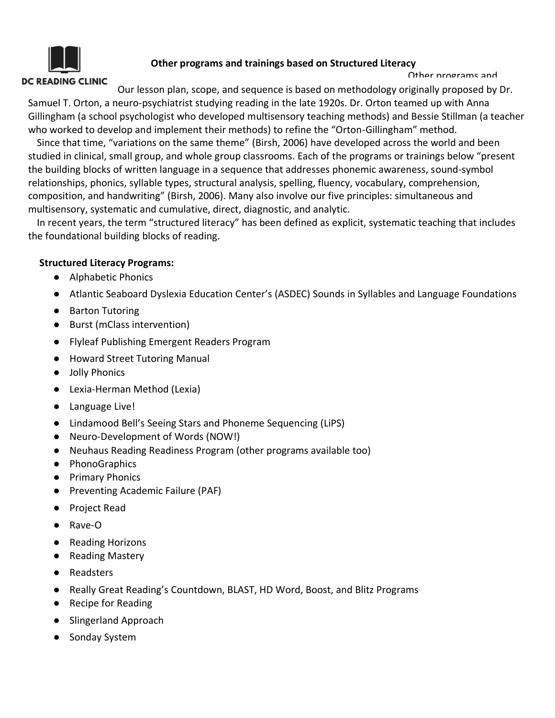# **DC READING CLINIC**

## **Other programs and trainings based on Structured Literacy**

Other programs and

Our lesson plan, scope, and sequence is based on methodology originally proposed by Dr. Samuel T. Orton, a neuro-psychiatrist studying reading in the late 1920s. Dr. Orton teamed up with Anna Gillingham (a school psychologist who developed multisensory teaching methods) and Bessie Stillman (a teacher who worked to develop and implement their methods) to refine the "Orton-Gillingham" method.

Since that time, "variations on the same theme" (Birsh, 2006) have developed across the world and been studied in clinical, small group, and whole group classrooms. Each of the programs or trainings below "present the building blocks of written language in a sequence that addresses phonemic awareness, sound-symbol relationships, phonics, syllable types, structural analysis, spelling, fluency, vocabulary, comprehension, composition, and handwriting" (Birsh, 2006). Many also involve our five principles: simultaneous and multisensory, systematic and cumulative, direct, diagnostic, and analytic.

In recent years, the term "structured literacy" has been defined as explicit, systematic teaching that includes the foundational building blocks of reading.

### **Structured Literacy Programs:**

- Alphabetic Phonics
- Atlantic Seaboard Dyslexia Education Center's (ASDEC) Sounds in Syllables and Language Foundations
- Barton Tutoring
- Burst (mClass intervention)
- Flyleaf Publishing Emergent Readers Program
- Howard Street Tutoring Manual
- Jolly Phonics
- Lexia-Herman Method (Lexia)
- Language Live!
- Lindamood Bell's Seeing Stars and Phoneme Sequencing (LiPS)
- Neuro-Development of Words (NOW!)
- Neuhaus Reading Readiness Program (other programs available too)
- PhonoGraphics
- Primary Phonics
- Preventing Academic Failure (PAF)
- Project Read
- Rave-O
- Reading Horizons
- Reading Mastery
- Readsters
- Really Great Reading's Countdown, BLAST, HD Word, Boost, and Blitz Programs
- Recipe for Reading
- Slingerland Approach
- Sonday System